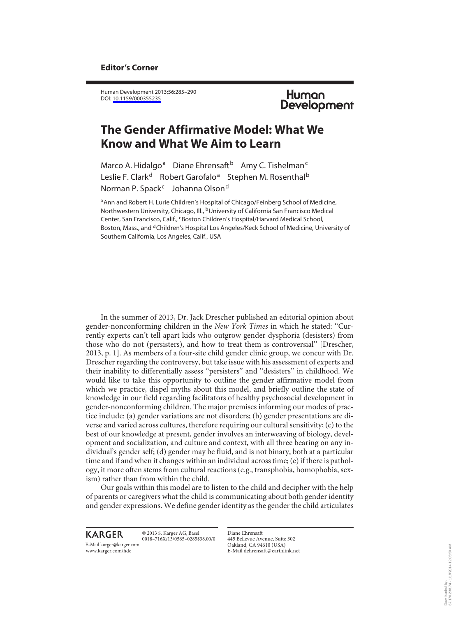Human Development 2013;56:285–290 DOI: [10.1159/000355235](http://dx.doi.org/10.1159%2F000355235)

# Human<br>Development

# **The Gender Affirmative Model: What We Know and What We Aim to Learn**

Marco A. Hidalgo<sup>a</sup> Diane Ehrensaft<sup>b</sup> Amy C. Tishelman<sup>c</sup> Leslie F. Clark<sup>d</sup> Robert Garofalo<sup>a</sup> Stephen M. Rosenthal<sup>b</sup> Norman P. Spack<sup>c</sup> Johanna Olson<sup>d</sup>

<sup>a</sup> Ann and Robert H. Lurie Children's Hospital of Chicago/Feinberg School of Medicine, Northwestern University, Chicago, Ill., <sup>b</sup> University of California San Francisco Medical Center, San Francisco, Calif., <sup>c</sup> Boston Children's Hospital/Harvard Medical School, Boston, Mass., and <sup>d</sup>Children's Hospital Los Angeles/Keck School of Medicine, University of Southern California, Los Angeles, Calif., USA

 In the summer of 2013, Dr. Jack Drescher published an editorial opinion about gender-nonconforming children in the *New York Times* in which he stated: ''Currently experts can't tell apart kids who outgrow gender dysphoria (desisters) from those who do not (persisters), and how to treat them is controversial'' [Drescher, 2013, p. 1]. As members of a four-site child gender clinic group, we concur with Dr. Drescher regarding the controversy, but take issue with his assessment of experts and their inability to differentially assess ''persisters'' and ''desisters'' in childhood. We would like to take this opportunity to outline the gender affirmative model from which we practice, dispel myths about this model, and briefly outline the state of knowledge in our field regarding facilitators of healthy psychosocial development in gender-nonconforming children. The major premises informing our modes of practice include: (a) gender variations are not disorders; (b) gender presentations are diverse and varied across cultures, therefore requiring our cultural sensitivity; (c) to the best of our knowledge at present, gender involves an interweaving of biology, development and socialization, and culture and context, with all three bearing on any individual's gender self; (d) gender may be fluid, and is not binary, both at a particular time and if and when it changes within an individual across time; (e) if there is pathology, it more often stems from cultural reactions (e.g., transphobia, homophobia, sexism) rather than from within the child.

 Our goals within this model are to listen to the child and decipher with the help of parents or caregivers what the child is communicating about both gender identity and gender expressions. We define gender identity as the gender the child articulates

 © 2013 S. Karger AG, Basel **KARGER** 0018–716X/13/0565–0285\$38.00/0 E-Mail karger@karger.com www.karger.com/hde

 Diane Ehrensaft 445 Bellevue Avenue, Suite 302 Oakland, CA 94610 (USA) E-Mail dehrensaft @ earthlink.net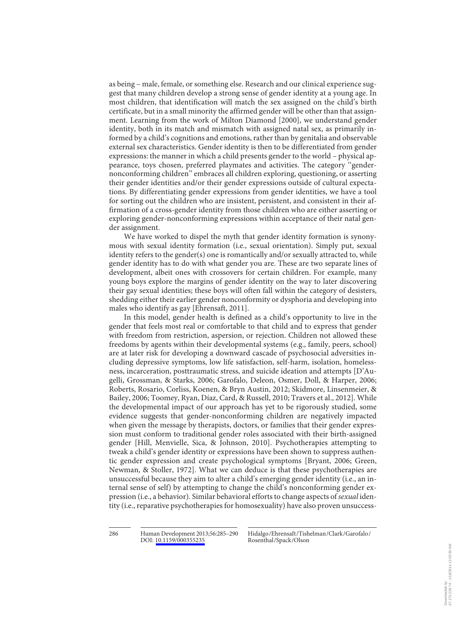as being – male, female, or something else. Research and our clinical experience suggest that many children develop a strong sense of gender identity at a young age. In most children, that identification will match the sex assigned on the child's birth certificate, but in a small minority the affirmed gender will be other than that assignment. Learning from the work of Milton Diamond [2000], we understand gender identity, both in its match and mismatch with assigned natal sex, as primarily informed by a child's cognitions and emotions, rather than by genitalia and observable external sex characteristics. Gender identity is then to be differentiated from gender expressions: the manner in which a child presents gender to the world – physical appearance, toys chosen, preferred playmates and activities. The category ''gendernonconforming children'' embraces all children exploring, questioning, or asserting their gender identities and/or their gender expressions outside of cultural expectations. By differentiating gender expressions from gender identities, we have a tool for sorting out the children who are insistent, persistent, and consistent in their affirmation of a cross-gender identity from those children who are either asserting or exploring gender-nonconforming expressions within acceptance of their natal gender assignment.

 We have worked to dispel the myth that gender identity formation is synonymous with sexual identity formation (i.e., sexual orientation). Simply put, sexual identity refers to the gender(s) one is romantically and/or sexually attracted to, while gender identity has to do with what gender you are. These are two separate lines of development, albeit ones with crossovers for certain children. For example, many young boys explore the margins of gender identity on the way to later discovering their gay sexual identities; these boys will often fall within the category of desisters, shedding either their earlier gender nonconformity or dysphoria and developing into males who identify as gay [Ehrensaft, 2011].

 In this model, gender health is defined as a child's opportunity to live in the gender that feels most real or comfortable to that child and to express that gender with freedom from restriction, aspersion, or rejection. Children not allowed these freedoms by agents within their developmental systems (e.g., family, peers, school) are at later risk for developing a downward cascade of psychosocial adversities including depressive symptoms, low life satisfaction, self-harm, isolation, homelessness, incarceration, posttraumatic stress, and suicide ideation and attempts [D'Augelli, Grossman, & Starks, 2006; Garofalo, Deleon, Osmer, Doll, & Harper, 2006; Roberts, Rosario, Corliss, Koenen, & Bryn Austin, 2012; Skidmore, Linsenmeier, & Bailey, 2006; Toomey, Ryan, Díaz, Card, & Russell, 2010; Travers et al., 2012]. While the developmental impact of our approach has yet to be rigorously studied, some evidence suggests that gender-nonconforming children are negatively impacted when given the message by therapists, doctors, or families that their gender expression must conform to traditional gender roles associated with their birth-assigned gender [Hill, Menvielle, Sica, & Johnson, 2010]. Psychotherapies attempting to tweak a child's gender identity or expressions have been shown to suppress authentic gender expression and create psychological symptoms [Bryant, 2006; Green, Newman, & Stoller, 1972]. What we can deduce is that these psychotherapies are unsuccessful because they aim to alter a child's emerging gender identity (i.e., an internal sense of self) by attempting to change the child's nonconforming gender expression (i.e., a behavior). Similar behavioral efforts to change aspects of *sexual* identity (i.e., reparative psychotherapies for homosexuality) have also proven unsuccess-

Human Development 2013;56:285–290 DOI: [10.1159/000355235](http://dx.doi.org/10.1159%2F000355235)

286 Human Development 2013;56:285-290 Hidalgo/Ehrensaft/Tishelman/Clark/Garofalo/ Rosenthal /Spack /Olson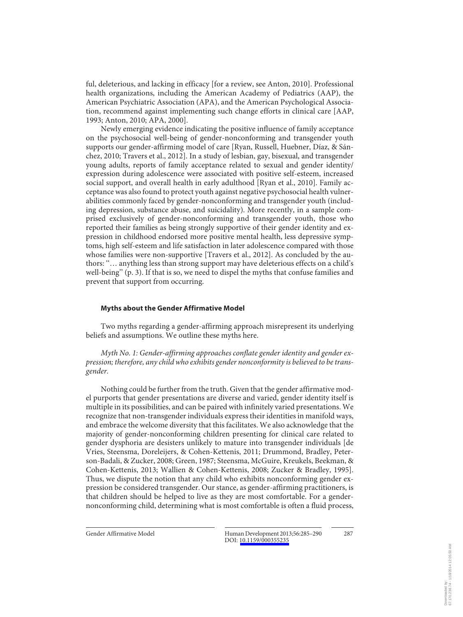ful, deleterious, and lacking in efficacy [for a review, see Anton, 2010]. Professional health organizations, including the American Academy of Pediatrics (AAP), the American Psychiatric Association (APA), and the American Psychological Association, recommend against implementing such change efforts in clinical care [AAP, 1993; Anton, 2010; APA, 2000].

 Newly emerging evidence indicating the positive influence of family acceptance on the psychosocial well-being of gender-nonconforming and transgender youth supports our gender-affirming model of care [Ryan, Russell, Huebner, Díaz, & Sánchez, 2010; Travers et al., 2012]. In a study of lesbian, gay, bisexual, and transgender young adults, reports of family acceptance related to sexual and gender identity/ expression during adolescence were associated with positive self-esteem, increased social support, and overall health in early adulthood [Ryan et al., 2010]. Family acceptance was also found to protect youth against negative psychosocial health vulnerabilities commonly faced by gender-nonconforming and transgender youth (including depression, substance abuse, and suicidality). More recently, in a sample comprised exclusively of gender-nonconforming and transgender youth, those who reported their families as being strongly supportive of their gender identity and expression in childhood endorsed more positive mental health, less depressive symptoms, high self-esteem and life satisfaction in later adolescence compared with those whose families were non-supportive [Travers et al., 2012]. As concluded by the authors: ''… anything less than strong support may have deleterious effects on a child's well-being'' (p. 3). If that is so, we need to dispel the myths that confuse families and prevent that support from occurring.

#### **Myths about the Gender Affirmative Model**

 Two myths regarding a gender-affirming approach misrepresent its underlying beliefs and assumptions. We outline these myths here.

*Myth No. 1: Gender-affirming approaches conflate gender identity and gender expression; therefore, any child who exhibits gender nonconformity is believed to be transgender.*

 Nothing could be further from the truth. Given that the gender affirmative model purports that gender presentations are diverse and varied, gender identity itself is multiple in its possibilities, and can be paired with infinitely varied presentations. We recognize that non-transgender individuals express their identities in manifold ways, and embrace the welcome diversity that this facilitates. We also acknowledge that the majority of gender-nonconforming children presenting for clinical care related to gender dysphoria are desisters unlikely to mature into transgender individuals [de Vries, Steensma, Doreleijers, & Cohen-Kettenis, 2011; Drummond, Bradley, Peterson-Badali, & Zucker, 2008; Green, 1987; Steensma, McGuire, Kreukels, Beekman, & Cohen-Kettenis, 2013; Wallien & Cohen-Kettenis, 2008; Zucker & Bradley, 1995]. Thus, we dispute the notion that any child who exhibits nonconforming gender expression be considered transgender. Our stance, as gender-affirming practitioners, is that children should be helped to live as they are most comfortable. For a gendernonconforming child, determining what is most comfortable is often a fluid process,

 Gender Affirmative Model Human Development 2013;56:285–290 287 DOI: [10.1159/000355235](http://dx.doi.org/10.1159%2F000355235)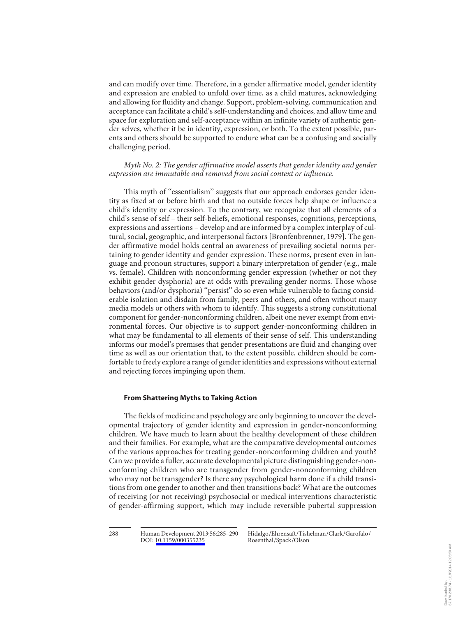and can modify over time. Therefore, in a gender affirmative model, gender identity and expression are enabled to unfold over time, as a child matures, acknowledging and allowing for fluidity and change. Support, problem-solving, communication and acceptance can facilitate a child's self-understanding and choices, and allow time and space for exploration and self-acceptance within an infinite variety of authentic gender selves, whether it be in identity, expression, or both. To the extent possible, parents and others should be supported to endure what can be a confusing and socially challenging period.

## *Myth No. 2: The gender affirmative model asserts that gender identity and gender expression are immutable and removed from social context or influence.*

This myth of "essentialism" suggests that our approach endorses gender identity as fixed at or before birth and that no outside forces help shape or influence a child's identity or expression. To the contrary, we recognize that all elements of a child's sense of self – their self-beliefs, emotional responses, cognitions, perceptions, expressions and assertions – develop and are informed by a complex interplay of cultural, social, geographic, and interpersonal factors [Bronfenbrenner, 1979]. The gender affirmative model holds central an awareness of prevailing societal norms pertaining to gender identity and gender expression. These norms, present even in language and pronoun structures, support a binary interpretation of gender (e.g., male vs. female). Children with nonconforming gender expression (whether or not they exhibit gender dysphoria) are at odds with prevailing gender norms. Those whose behaviors (and/or dysphoria) ''persist'' do so even while vulnerable to facing considerable isolation and disdain from family, peers and others, and often without many media models or others with whom to identify. This suggests a strong constitutional component for gender-nonconforming children, albeit one never exempt from environmental forces. Our objective is to support gender-nonconforming children in what may be fundamental to all elements of their sense of self. This understanding informs our model's premises that gender presentations are fluid and changing over time as well as our orientation that, to the extent possible, children should be comfortable to freely explore a range of gender identities and expressions without external and rejecting forces impinging upon them.

### **From Shattering Myths to Taking Action**

 The fields of medicine and psychology are only beginning to uncover the developmental trajectory of gender identity and expression in gender-nonconforming children. We have much to learn about the healthy development of these children and their families. For example, what are the comparative developmental outcomes of the various approaches for treating gender-nonconforming children and youth? Can we provide a fuller, accurate developmental picture distinguishing gender-nonconforming children who are transgender from gender-nonconforming children who may not be transgender? Is there any psychological harm done if a child transitions from one gender to another and then transitions back? What are the outcomes of receiving (or not receiving) psychosocial or medical interventions characteristic of gender-affirming support, which may include reversible pubertal suppression

Human Development 2013;56:285–290 DOI: [10.1159/000355235](http://dx.doi.org/10.1159%2F000355235)

288 Human Development 2013;56:285-290 Hidalgo/Ehrensaft/Tishelman/Clark/Garofalo/ Rosenthal /Spack /Olson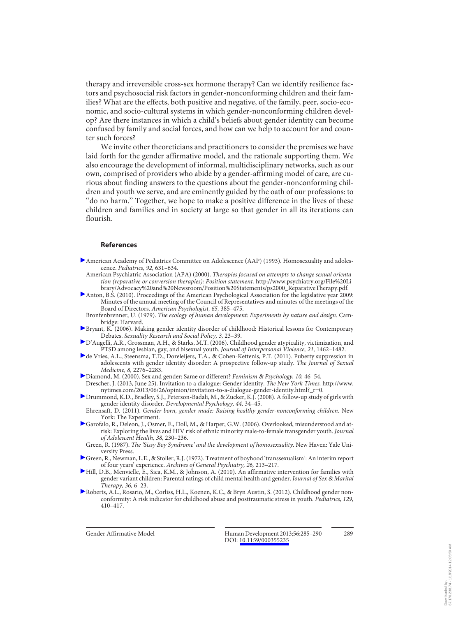therapy and irreversible cross-sex hormone therapy? Can we identify resilience factors and psychosocial risk factors in gender-nonconforming children and their families? What are the effects, both positive and negative, of the family, peer, socio-economic, and socio-cultural systems in which gender-nonconforming children develop? Are there instances in which a child's beliefs about gender identity can become confused by family and social forces, and how can we help to account for and counter such forces?

 We invite other theoreticians and practitioners to consider the premises we have laid forth for the gender affirmative model, and the rationale supporting them. We also encourage the development of informal, multidisciplinary networks, such as our own, comprised of providers who abide by a gender-affirming model of care, are curious about finding answers to the questions about the gender-nonconforming children and youth we serve, and are eminently guided by the oath of our professions: to ''do no harm.'' Together, we hope to make a positive difference in the lives of these children and families and in society at large so that gender in all its iterations can flourish.

#### **References**

- American Academy of Pediatrics Committee on Adolescence (AAP) (1993). Homosexuality and adolescence. *Pediatrics, 92,* 631–634.
- American Psychiatric Association (APA) (2000). *Therapies focused on attempts to change sexual orientation (reparative or conversion therapies): Position statement.* http://www.psychiatry.org/File%20Library/Advocacy%20and%20Newsroom/Position%20Statements/ps2000\_ReparativeTherapy.pdf.
- Anton, B.S. (2010). Proceedings of the American Psychological Association for the legislative year 2009: Minutes of the annual meeting of the Council of Representatives and minutes of the meetings of the Board of Directors. *American Psychologist, 65,* 385–475.
- Bronfenbrenner, U. (1979). *The ecology of human development: Experiments by nature and design* . Cambridge: Harvard.
- Bryant, K. (2006). Making gender identity disorder of childhood: Historical lessons for Contemporary Debates. *Sexuality Research and Social Policy, 3,* 23–39.
- D'Augelli, A.R., Grossman, A.H., & Starks, M.T. (2006). Childhood gender atypicality, victimization, and PTSD among lesbian, gay, and bisexual youth. *Journal of Interpersonal Violence, 21,* 1462–1482.
- de Vries, A.L., Steensma, T.D., Doreleijers, T.A., & Cohen-Kettenis, P.T. (2011). Puberty suppression in adolescents with gender identity disorder: A prospective follow-up study. *The Journal of Sexual Medicine, 8,* 2276–2283.
- Diamond, M. (2000). Sex and gender: Same or different? *Feminism*  & *Psychology, 10,* 46–54. Drescher, J. (2013, June 25). Invitation to a dialogue: Gender identity. *The New York Times.* http://www. nytimes.com/2013/06/26/opinion/invitation-to-a-dialogue-gender-identity.html?\_r=0.
- Drummond, K.D., Bradley, S.J., Peterson-Badali, M., & Zucker, K.J. (2008). A follow-up study of girls with gender identity disorder. *Developmental Psychology, 44,* 34–45.
- Ehrensaft, D. (2011). *Gender born, gender made: Raising healthy gender-nonconforming children.* New York: The Experiment.
- Garofalo, R., Deleon, J., Osmer, E., Doll, M., & Harper, G.W. (2006). Overlooked, misunderstood and atrisk: Exploring the lives and HIV risk of ethnic minority male-to-female transgender youth. *Journal of Adolescent Health, 38,* 230–236.
- Green, R. (1987). *The 'Sissy Boy Syndrome' and the development of homosexuality* . New Haven: Yale University Press.
- Green, R., Newman, L.E., & Stoller, R.J. (1972). Treatment of boyhood 'transsexualism': An interim report of four years' experience. *Archives of General Psychiatry, 26,* 213–217.
- Hill, D.B., Menvielle, E., Sica, K.M., & Johnson, A. (2010). An affirmative intervention for families with gender variant children: Parental ratings of child mental health and gender. *Journal of Sex*  & *Marital Therapy, 36,* 6–23.
- Roberts, A.L., Rosario, M., Corliss, H.L., Koenen, K.C., & Bryn Austin, S. (2012). Childhood gender nonconformity: A risk indicator for childhood abuse and posttraumatic stress in youth. *Pediatrics, 129,*  410–417.

Gender Affirmative Model Human Development 2013;56:285-290 289 DOI: [10.1159/000355235](http://dx.doi.org/10.1159%2F000355235)